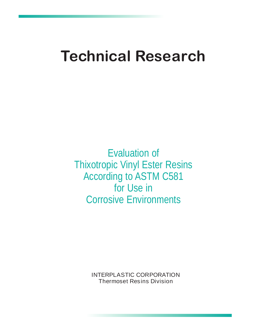# **Technical Research**

Evaluation of Thixotropic Vinyl Ester Resins According to ASTM C581 for Use in Corrosive Environments

> INTERPLASTIC CORPORATION Thermoset Resins Division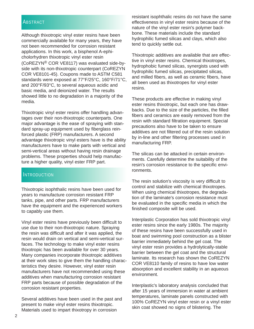#### **ABSTRACT**

Although thixotropic vinyl ester resins have been commercially available for many years, they have not been recommended for corrosion resistant applications. In this work, a bisphenol A-ephicholorhydren thixotropic vinyl ester resin (CoREZYN® COR VE8117) was evaluated side-byside with its non-thixotropic counterpart (CoREZYN COR VE8101-45). Coupons made to ASTM C581 standards were exposed at 77°F/25°C, 160°F/71°C, and 200°F/93°C, to several aqueous acidic and basic media, and deionized water. The results showed little to no degradation in a majority of the media.

Thixotropic vinyl ester resins offer handling advantages over their non-thixotropic counterparts. One major advantage is the ease of spraying with standard spray-up equipment used by fiberglass reinforced plastic (FRP) manufacturers. A second advantage thixotropic vinyl esters have is the ability manufacturers have to make parts with vertical and semi-vertical areas without having resin drainage problems. These properties should help manufacture a higher quality, vinyl ester FRP part.

#### **INTRODUCTION**

Thixotropic isophthalic resins have been used for years to manufacture corrosion resistant FRP tanks, pipe, and other parts. FRP manufacturers have the equipment and the experienced workers to capably use them.

Vinyl ester resins have previously been difficult to use due to their non-thixotropic nature. Spraying the resin was difficult and after it was applied, the resin would drain on vertical and semi-vertical surfaces. The technology to make vinyl ester resins thixotropic has been available for over 30 years. Many companies incorporate thixotropic additives at their work sites to give them the handling characteristics they desire. However, vinyl ester resin manufacturers have not recommended using these additives when manufacturing corrosion resistant FRP parts because of possible degradation of the corrosion resistant properties.

Several additives have been used in the past and present to make vinyl ester resins thixotropic. Materials used to impart thixotropy in corrosion

resistant isophthalic resins do not have the same effectiveness in vinyl ester resins because of the nature of the vinyl ester resin's polymer backbone. These materials include the standard hydrophilic fumed silicas and clays, which also tend to quickly settle out.

Thixotropic additives are available that are effective in vinyl ester resins. Chemical thixotropes, hydrophobic fumed silicas, synergists used with hydrophilic fumed silicas, precipitated silicas, and milled fibers, as well as ceramic fibers, have all been used as thixotropes for vinyl ester resins.

These products are effective in making vinyl ester resins thixotropic, but each one has drawbacks. Due to the size of the particles, the filled fibers and ceramics are easily removed from the resin with standard filtration equipment. Special precautions also have to be taken to ensure additives are not filtered out of the resin solution by in-line and other filtering processes used in manufacturing FRP.

The silicas can be attacked in certain environments. Carefully determine the suitability of the resin's corrosion resistance to the specific environments.

The resin solution's viscosity is very difficult to control and stabilize with chemical thixotropes. When using chemical thixotropes, the degradation of the laminate's corrosion resistance must be evaluated in the specific media in which the finished composite will be used.

Interplastic Corporation has sold thixotropic vinyl ester resins since the early 1980s. The majority of these resins have been successfully used in boat and swimming pool construction as a blister barrier immediately behind the gel coat. The vinyl ester resin provides a hydrolytically-stable barrier between the gel coat and the structural laminate. Its research has shown the CoREZYN COR VE8110 family of resins to have low water absorption and excellent stability in an aqueous environment.

Interplastic's laboratory analysis concluded that after 15 years of immersion in water at ambient temperatures, laminate panels constructed with 100% CoREZYN vinyl ester resin or a vinyl ester skin coat showed no signs of blistering. The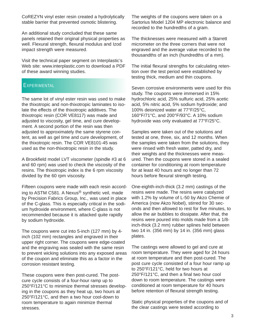CoREZYN vinyl ester resin created a hydrolytically stable barrier that prevented osmotic blistering.

An additional study concluded that these same panels retained their original physical properties as well. Flexural strength, flexural modulus and Izod impact strength were measured.

Visit the technical paper segment on Interplastic's Web site: www.interplastic.com to download a PDF of these award winning studies.

## **EXPERIMENTAL**

The same lot of vinyl ester resin was used to make the thixotropic and non-thixotropic laminates to isolate the effects of the thixotropic additives. The thixotropic resin (COR VE8117) was made and adjusted to viscosity, gel time, and cure development. A second portion of the resin was then adjusted to approximately the same styrene content, as well as gel time and cure development, of the thixotropic resin. The COR VE8101-45 was used as the non-thixotropic resin in the study.

A Brookfield model LVT viscometer (spindle #3 at 6 and 60 rpm) was used to check the viscosity of the resins. The thixotropic index is the 6 rpm viscosity divided by the 60 rpm viscosity.

Fifteen coupons were made with each resin according to ASTM C581. A Nexus® synthetic veil, made by Precision Fabrics Group, Inc., was used in place of the C-glass. This is especially critical in the sodium hydroxide environment, where C-glass is not recommended because it is attacked quite rapidly by sodium hydroxide.

The coupons were cut into 5-inch (127 mm) by 4 inch (102 mm) rectangles and engraved in their upper right corner. The coupons were edge-coated and the engraving was sealed with the same resin to prevent wicking solutions into any exposed areas of the coupon and eliminate this as a factor in the corrosion resistant testing.

These coupons were then post-cured. The postcure cycle consists of a four-hour ramp up to 250°F/121°C to minimize thermal stresses developing in the coupons as they heat up, two hours at 250°F/121°C, and then a two hour cool-down to room temperature to again minimize thermal stresses.

The weights of the coupons were taken on a Sartorius Model 1204 MP electronic balance and recorded to the hundredths of a gram.

The thicknesses were measured with a Starrett micrometer on the three corners that were not engraved and the average value recorded to the thousandths of an inch (hundredths of a mm).

The initial flexural strengths for calculating retention over the test period were established by testing thick, medium and thin coupons.

Seven corrosive environments were used for this study. The coupons were immersed in 15% hydrochloric acid, 25% sulfuric acid, 25% acetic acid, 5% nitric acid, 5% sodium hydroxide; and 100% deionized water at 77°F/25°C, 160°F/71°C, and 200°F/93°C. A 10% sodium hydroxide was only evaluated at 77°F/25°C.

Samples were taken out of the solutions and tested at one, three, six, and 12 months. When the samples were taken from the solutions, they were rinsed with fresh water, patted dry, and their weights and the thicknesses were measured. Then the coupons were stored in a sealed container for conditioning at room temperature for at least 40 hours and no longer than 72 hours before flexural strength testing.

One-eighth-inch-thick (3.2 mm) castings of the resins were made. The resins were catalyzed with 1.2% by volume of L-50 by Akzo Chemie of America (now Akzo Nobel), stirred for 30 seconds and then allowed to rest for five minutes, to allow the air bubbles to dissipate. After that, the resins were poured into molds made from a 1/8 inch-thick (3.2 mm) rubber splines held between two 14 in. (356 mm) by 14 in. (356 mm) glass plates.

The castings were allowed to gel and cure at room temperature. They were aged for 24 hours at room temperature and then post-cured. The post cure cycle consisted of a four hour ramp up to 250°F/121°C, held for two hours at 250°F/121°C, and then a final two hour cool down to room temperature. The castings were conditioned at room temperature for 40 hours before retention of flexural strength testing.

Static physical properties of the coupons and of the clear castings were tested according to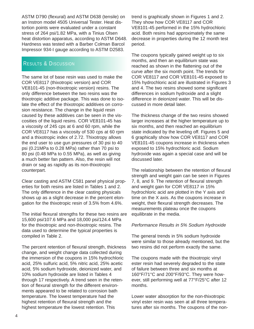ASTM D790 (flexural) and ASTM D638 (tensile) on an Instron model 4505 Universal Tester. Heat distortion points were evaluated under a constant stress of 264 psi/1.82 MPa, with a Tinius Olsen heat distortion apparatus, according to ASTM D648. Hardness was tested with a Barber Colman Barcol Impressor 934-I gauge according to ASTM D2583.

# RESULTS & DISCUSSION

The same lot of base resin was used to make the COR VE8117 (thixotropic version) and COR VE8101-45 (non-thixotropic version) resins. The only difference between the two resins was the thixotropic additive package. This was done to isolate the effect of the thixotropic additives on corrosion resistance. The change in the liquid resin caused by these additives can be seen in the viscosities of the liquid resins. COR VE8101-45 has a viscosity of 245 cps at 6 and 60 rpm, while the COR VE8117 has a viscosity of 530 cps at 60 rpm and a thixotropic index of 2.72. Thixotropy allows the end user to use gun pressures of 30 psi to 40 psi (0.21MPa to 0.28 MPa) rather than 70 psi to 80 psi (0.48 MPa to 0.55 MPa), as well as giving a much better fan pattern. Also, the resin will not drain or sag as rapidly as its non-thixotropic counterpart.

Clear casting and ASTM C581 panel physical properties for both resins are listed in Tables 1 and 2. The only difference in the clear casting physicals shows up as a slight decrease in the percent elongation for the thixotropic resin of 3.5% from 4.6%.

The initial flexural strengths for these two resins are 15,600 psi/107.6 MPa and 18,000 psi/124.4 MPa for the thixotropic and non-thixotropic resins. The data used to determine the typical properties is compiled in Table 2.

The percent retention of flexural strength, thickness change, and weight change data collected during the immersion of the coupons in 15% hydrochloric acid, 25% sulfuric acid, 5% nitric acid, 25% acetic acid, 5% sodium hydroxide, deionized water, and 10% sodium hydroxide are listed in Tables 4 through 17 respectively. A trend seen in the retention of flexural strength for the different environments appeared to be related to corrosion bath temperature. The lowest temperature had the highest retention of flexural strength and the highest temperature the lowest retention. This

trend is graphically shown in Figures 1 and 2. They show how COR VE8117 and COR VE8101-45 performed in the 15% hydrochloric acid. Both resins had approximately the same decrease in properties during the 12 month test period.

The coupons typically gained weight up to six months, and then an equilibrium state was reached as shown in the flattening out of the curve after the six month point. The trends for COR VE8117 and COR VE8101-45 exposed to 15% hydrochloric acid are illustrated in Figures 3 and 4. The two resins showed some significant differences in sodium hydroxide and a slight difference in deionized water. This will be discussed in more detail later.

The thickness change of the two resins showed larger increases at the higher temperature up to six months, and then reached an equilibrium state indicated by the leveling off. Figures 5 and 6 graphically show how COR VE8117 and COR VE8101-45 coupons increase in thickness when exposed to 15% hydrochloric acid. Sodium hydroxide was again a special case and will be discussed later.

The relationship between the retention of flexural strength and weight gain can be seen in Figures 7, 8, and 9. The retention of flexural strength and weight gain for COR VE8117 in 15% hydrochloric acid are plotted in the Y axis and time on the X axis. As the coupons increase in weight, their flexural strength decreases. The measurements plateau once the coupons equilibrate in the media.

#### *Performance Results in 5% Sodium Hydroxide*

The general trends in 5% sodium hydroxide were similar to those already mentioned, but the two resins did not perform exactly the same.

The coupons made with the thixotropic vinyl ester resin had severely degraded to the state of failure between three and six months at 160°F/71°C and 200°F/93°C. They were however, still performing well at 77°F/25°C after 12 months.

Lower water absorption for the non-thixotropic vinyl ester resin was seen at all three temperatures after six months. The coupons of the non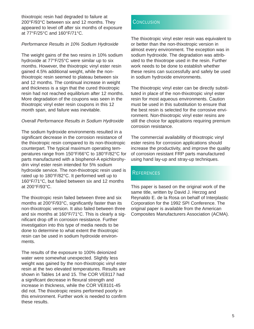thixotropic resin had degraded to failure at 200°F/93°C between six and 12 months. They appeared to level off after six months of exposure at 77°F/25°C and 160°F/71°C.

#### *Performance Results in 10% Sodium Hydroxide*

The weight gains of the two resins in 10% sodium hydroxide at 77°F/25°C were similar up to six months. However, the thixotropic vinyl ester resin gained 4.5% additional weight, while the nonthixotropic resin seemed to plateau between six and 12 months. The continual increase in weight and thickness is a sign that the cured thixotropic resin had not reached equilibrium after 12 months. More degradation of the coupons was seen in the thixotropic vinyl ester resin coupons in this 12 month span, and failure was inevitable.

#### *Overall Performance Results in Sodium Hydroxide*

The sodium hydroxide environments resulted in a significant decrease in the corrosion resistance of the thixotropic resin compared to its non-thixotropic counterpart. The typical maximum operating temperatures range from 150°F/66°C to 180°F/82°C for parts manufactured with a bisphenol-A epichlorohydrin vinyl ester resin intended for 5% sodium hydroxide service. The non-thixotropic resin used is rated up to 180°F/82°C. It performed well up to 160°F/71°C, but failed between six and 12 months at 200°F/93°C.

The thixotropic resin failed between three and six months at 200°F/93°C, significantly faster than its non-thixotropic version. It also failed between three and six months at 160°F/71°C. This is clearly a significant drop off in corrosion resistance. Further investigation into this type of media needs to be done to determine to what extent the thixotropic resin can be used in sodium hydroxide environments.

The results of the exposure to 100% deionized water were somewhat unexpected. Slightly less weight was gained by the non-thixotropic vinyl ester resin at the two elevated temperatures. Results are shown in Tables 14 and 15. The COR VE8117 had a significant decrease in flexural strength and increase in thickness, while the COR VE8101-45 did not. The thixotropic resins performed poorly in this environment. Further work is needed to confirm these results.

### **CONCLUSION**

The thixotropic vinyl ester resin was equivalent to or better than the non-thixotropic version in almost every environment. The exception was in sodium hydroxide. The degradation was attributed to the thixotrope used in the resin. Further work needs to be done to establish whether these resins can successfully and safely be used in sodium hydroxide environments.

The thixotropic vinyl ester can be directly substituted in place of the non-thixotropic vinyl ester resin for most aqueous environments. Caution must be used in this substitution to ensure that the best resin is selected for the corrosive environment. Non-thixotropic vinyl ester resins are still the choice for applications requiring premium corrosion resistance.

The commercial availability of thixotropic vinyl ester resins for corrosion applications should increase the productivity, and improve the quality of corrosion resistant FRP parts manufactured using hand lay-up and stray-up techniques.

## **REFERENCES**

This paper is based on the original work of the same title, written by David J. Herzog and Reynaldo E. de la Rosa on behalf of Interplastic Corporation for the 1992 SPI Conference. The original paper is available from the American Composites Manufacturers Association (ACMA).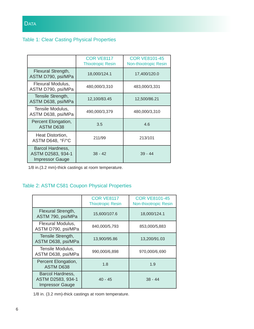## Table 1: Clear Casting Physical Properties

|                                                                 | <b>COR VE8117</b><br><b>Thixotropic Resin</b> | <b>COR VE8101-45</b><br><b>Non-thixotropic Resin</b> |
|-----------------------------------------------------------------|-----------------------------------------------|------------------------------------------------------|
| Flexural Strength,<br>ASTM D790, psi/MPa                        | 18,000/124.1                                  | 17,400/120.0                                         |
| Flexural Modulus,<br>ASTM D790, psi/MPa                         | 480,000/3,310                                 | 483,000/3,331                                        |
| Tensile Strength,<br>ASTM D638, psi/MPa                         | 12,100/83.45                                  | 12,500/86.21                                         |
| Tensile Modulus,<br>ASTM D638, psi/MPa                          | 490,000/3,379                                 | 480,000/3,310                                        |
| Percent Elongation,<br><b>ASTM D638</b>                         | 3.5                                           | 4.6                                                  |
| Heat Distortion,<br>ASTM D648, °F/°C                            | 211/99                                        | 213/101                                              |
| Barcol Hardness,<br>ASTM D2583, 934-1<br><b>Impressor Gauge</b> | $38 - 42$                                     | $39 - 44$                                            |

1/8 in.(3.2 mm)-thick castings at room temperature.

#### Table 2: ASTM C581 Coupon Physical Properties

|                                                                 | <b>COR VE8117</b><br><b>Thixotropic Resin</b> | <b>COR VE8101-45</b><br>Non-thixotropic Resin |
|-----------------------------------------------------------------|-----------------------------------------------|-----------------------------------------------|
| Flexural Strength,<br>ASTM 790, psi/MPa                         | 15,600/107.6                                  | 18,000/124.1                                  |
| Flexural Modulus,<br>ASTM D790, psi/MPa                         | 840,000/5,793                                 | 853,000/5,883                                 |
| Tensile Strength,<br>ASTM D638, psi/MPa                         | 13,900/95.86                                  | 13,200/91.03                                  |
| Tensile Modulus,<br>ASTM D638, psi/MPa                          | 990,000/6,898                                 | 970,000/6,690                                 |
| Percent Elongation,<br><b>ASTM D638</b>                         | 1.8                                           | 1.9                                           |
| Barcol Hardness,<br>ASTM D2583, 934-1<br><b>Impressor Gauge</b> | $40 - 45$                                     | $38 - 44$                                     |

1/8 in. (3.2 mm)-thick castings at room temperature.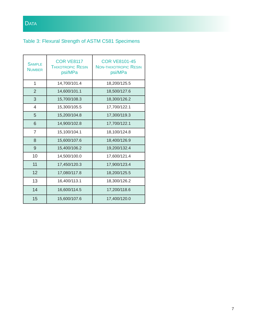# Table 3: Flexural Strength of ASTM C581 Specimens

| <b>SAMPLE</b><br><b>NUMBER</b> | <b>COR VE8117</b><br><b>THIXOTROPIC RESIN</b><br>psi/MPa | <b>COR VE8101-45</b><br><b>NON-THIXOTROPIC RESIN</b><br>psi/MPa |  |
|--------------------------------|----------------------------------------------------------|-----------------------------------------------------------------|--|
| 1                              | 14,700/101.4                                             | 18,200/125.5                                                    |  |
| $\overline{2}$                 | 14,600/101.1                                             | 18,500/127.6                                                    |  |
| 3                              | 15,700/108.3                                             | 18,300/126.2                                                    |  |
| $\overline{4}$                 | 15,300/105.5                                             | 17,700/122.1                                                    |  |
| 5                              | 15,200/104.8                                             | 17,300/119.3                                                    |  |
| 6                              | 14,900/102.8                                             | 17,700/122.1                                                    |  |
| $\overline{7}$                 | 15,100/104.1                                             | 18,100/124.8                                                    |  |
| 8                              | 15,600/107.6                                             | 18,400/126.9                                                    |  |
| 9                              | 15,400/106.2                                             | 19,200/132.4                                                    |  |
| 10                             | 14,500/100.0                                             | 17,600/121.4                                                    |  |
| 11                             | 17,450/120.3                                             | 17,900/123.4                                                    |  |
| 12                             | 17,080/117.8                                             | 18,200/125.5                                                    |  |
| 13                             | 16,400/113.1                                             | 18,300/126.2                                                    |  |
| 14                             | 16,600/114.5                                             | 17,200/118.6                                                    |  |
| 15                             | 15,600/107.6                                             | 17,400/120.0                                                    |  |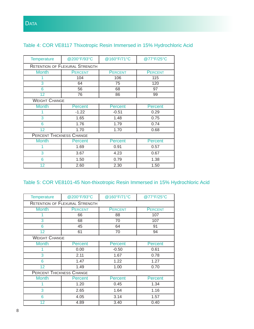## Table 4: COR VE8117 Thixotropic Resin Immersed in 15% Hydrochloric Acid

| <b>Temperature</b>   | @200°F/93°C                           | @160°F/71°C    | @77°F/25°C     |  |  |
|----------------------|---------------------------------------|----------------|----------------|--|--|
|                      | <b>RETENTION OF FLEXURAL STRENGTH</b> |                |                |  |  |
| <b>Month</b>         | <b>PERCENT</b>                        | <b>PERCENT</b> | <b>PERCENT</b> |  |  |
|                      | 104                                   | 106            | 115            |  |  |
| 3                    | 64                                    | 75             | 120            |  |  |
| 6                    | 56                                    | 68             | 97             |  |  |
| 12                   | 76                                    | 86             | 99             |  |  |
| <b>WEIGHT CHANGE</b> |                                       |                |                |  |  |
| <b>Month</b>         | <b>Percent</b>                        | <b>Percent</b> | <b>Percent</b> |  |  |
|                      | $-1.22$                               | $-0.51$        | 0.29           |  |  |
| 3                    | 1.65                                  | 1.48           | 0.75           |  |  |
| 6                    | 1.76                                  | 1.79           | 0.74           |  |  |
| 12                   | 1.70                                  | 1.70           | 0.68           |  |  |
|                      | <b>PERCENT THICKNESS CHANGE</b>       |                |                |  |  |
| <b>Month</b>         | Percent                               | Percent        | Percent        |  |  |
|                      | 1.69                                  | 0.91           | 0.57           |  |  |
| 3                    | 3.67                                  | 4.23           | 0.67           |  |  |
| 6                    | 1.50                                  | 0.79           | 1.38           |  |  |
| 12                   | 2.60                                  | 2.30           | 1.50           |  |  |

# Table 5: COR VE8101-45 Non-thixotropic Resin Immersed in 15% Hydrochloric Acid

| <b>Temperature</b>                    | @200°F/93°C    | @160°F/71°C    | @77°F/25°C     |  |
|---------------------------------------|----------------|----------------|----------------|--|
| <b>RETENTION OF FLEXURAL STRENGTH</b> |                |                |                |  |
| <b>Month</b>                          | <b>PERCENT</b> | <b>PERCENT</b> | <b>PERCENT</b> |  |
|                                       | 66             | 88             | 107            |  |
| 3                                     | 68             | 70             | 107            |  |
| 6                                     | 45             | 64             | 91             |  |
| 12                                    | 61             | 70             | 94             |  |
| <b>WEIGHT CHANGE</b>                  |                |                |                |  |
| <b>Month</b>                          | <b>Percent</b> | <b>Percent</b> | <b>Percent</b> |  |
|                                       | 0.00           | $-0.50$        | 0.61           |  |
| 3                                     | 2.11           | 1.67           | 0.78           |  |
| 6                                     | 1.47           | 1.22           | 1.27           |  |
| 12 <sup>2</sup>                       | 1.49           | 1.00           | 0.70           |  |
| <b>PERCENT THICKNESS CHANGE</b>       |                |                |                |  |
| <b>Month</b>                          | Percent        | <b>Percent</b> | Percent        |  |
|                                       | 1.20           | 0.45           | 1.34           |  |
| 3                                     | 2.65           | 1.64           | 1.16           |  |
| 6                                     | 4.05           | 3.14           | 1.57           |  |
| 12                                    | 4.89           | 3.40           | 0.40           |  |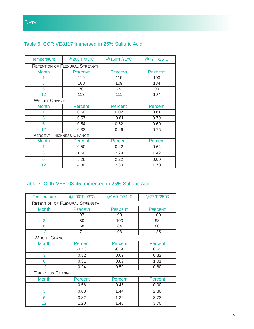### Table 6: COR VE8117 Immersed in 25% Sulfuric Acid

| <b>Temperature</b>                    | @200°F/93°C    | @160°F/71°C    | @77°F/25°C     |  |
|---------------------------------------|----------------|----------------|----------------|--|
| <b>RETENTION OF FLEXURAL STRENGTH</b> |                |                |                |  |
| <b>Month</b>                          | <b>PERCENT</b> | <b>PERCENT</b> | <b>PERCENT</b> |  |
|                                       | 119            | 116            | 103            |  |
| 3                                     | 108            | 109            | 134            |  |
| 6                                     | 70             | 79             | 90             |  |
| 12                                    | 113            | 111            | 107            |  |
| <b>WEIGHT CHANGE</b>                  |                |                |                |  |
| <b>Month</b>                          | <b>Percent</b> | Percent        | Percent        |  |
|                                       | 0.60           | 0.02           | 0.61           |  |
| 3                                     | 0.57           | $-0.61$        | 0.79           |  |
| 6                                     | 0.54           | 0.52           | 0.60           |  |
| 12                                    | 0.33           | 0.46           | 0.75           |  |
| <b>PERCENT THICKNESS CHANGE</b>       |                |                |                |  |
| <b>Month</b>                          | Percent        | Percent        | Percent        |  |
|                                       | 0.50           | 0.42           | 0.64           |  |
| 3                                     | 1.60           | 2.29           | 1.42           |  |
| 6                                     | 5.26           | 2.22           | 0.00           |  |
| 12                                    | 4.30           | 2.30           | 1.70           |  |

### Table 7: COR VE8108-45 Immersed in 25% Sulfuric Acid

| <b>Temperature</b>   | @200°F/93°C                           | @160°F/71°C    | @77°F/25°C     |  |  |
|----------------------|---------------------------------------|----------------|----------------|--|--|
|                      | <b>RETENTION OF FLEXURAL STRENGTH</b> |                |                |  |  |
| <b>Month</b>         | <b>PERCENT</b>                        | <b>PERCENT</b> | <b>PERCENT</b> |  |  |
|                      | 97                                    | 93             | 100            |  |  |
| 3                    | 80                                    | 103            | 98             |  |  |
| 6                    | 68                                    | 84             | 80             |  |  |
| 12                   | 71                                    | 93             | 125            |  |  |
| <b>WEIGHT CHANGE</b> |                                       |                |                |  |  |
| <b>Month</b>         | Percent                               | <b>Percent</b> | <b>Percent</b> |  |  |
|                      | $-1.33$                               | $-0.50$        | 0.62           |  |  |
| 3                    | 0.32                                  | 0.62           | 0.82           |  |  |
| 6                    | 0.31                                  | 0.82           | 1.01           |  |  |
| 12                   | 0.24                                  | 0.50           | 0.80           |  |  |
|                      | <b>THICKNESS CHANGE</b>               |                |                |  |  |
| <b>Month</b>         | Percent                               | Percent        | <b>Percent</b> |  |  |
|                      | 0.56                                  | 0.45           | 0.00           |  |  |
| 3                    | 0.68                                  | 1.44           | 2.30           |  |  |
| 6                    | 3.82                                  | 1.36           | 3.73           |  |  |
| 12                   | 1.20                                  | 1.40           | 3.70           |  |  |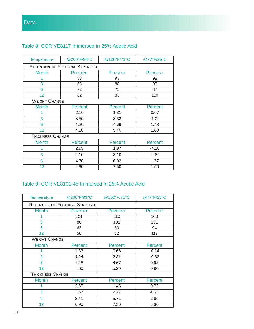### Table 8: COR VE8117 Immersed in 25% Acetic Acid

| <b>Temperature</b>   | @200°F/93°C                           | @160°F/71°C    | @77°F/25°C     |  |  |
|----------------------|---------------------------------------|----------------|----------------|--|--|
|                      | <b>RETENTION OF FLEXURAL STRENGTH</b> |                |                |  |  |
| <b>Month</b>         | <b>PERCENT</b>                        | <b>PERCENT</b> | <b>PERCENT</b> |  |  |
|                      | 88                                    | 93             | 98             |  |  |
| 3                    | 65                                    | 88             | 95             |  |  |
| 6                    | 72                                    | 75             | 87             |  |  |
| 12                   | 62                                    | 83             | 110            |  |  |
| <b>WEIGHT CHANGE</b> |                                       |                |                |  |  |
| <b>Month</b>         | Percent                               | Percent        | Percent        |  |  |
|                      | 2.16                                  | 1.31           | 0.67           |  |  |
| 3                    | 3.50                                  | 3.32           | $-1.02$        |  |  |
| 6                    | 4.20                                  | 4.69           | 1.48           |  |  |
| 12                   | 4.10                                  | 5.40           | 1.00           |  |  |
| THICKNESS CHANGE     |                                       |                |                |  |  |
| <b>Month</b>         | Percent                               | <b>Percent</b> | <b>Percent</b> |  |  |
|                      | 2.99                                  | 1.97           | $-4.20$        |  |  |
| 3                    | 4.10                                  | 3.10           | $-2.84$        |  |  |
| 6                    | 4.70                                  | 6.03           | 1.77           |  |  |
| 12                   | 4.80                                  | 7.50           | 1.50           |  |  |

#### Table 9: COR VE8101-45 Immersed in 25% Acetic Acid

| Temperature             | @200°F/93°C                           | @160°F/71°C    | @77°F/25°C     |  |  |
|-------------------------|---------------------------------------|----------------|----------------|--|--|
|                         | <b>RETENTION OF FLEXURAL STRENGTH</b> |                |                |  |  |
| <b>Month</b>            | <b>PERCENT</b>                        | <b>PERCENT</b> | <b>PERCENT</b> |  |  |
|                         | 121                                   | 110            | 108            |  |  |
| 3                       | 86                                    | 101            | 131            |  |  |
| 6                       | 63                                    | 83             | 94             |  |  |
| 12                      | 58                                    | 82             | 117            |  |  |
| <b>WEIGHT CHANGE</b>    |                                       |                |                |  |  |
| <b>Month</b>            | <b>Percent</b>                        | <b>Percent</b> | <b>Percent</b> |  |  |
|                         | 1.33                                  | 0.68           | $-0.14$        |  |  |
| 3                       | 4.24                                  | 2.84           | $-0.82$        |  |  |
| 6                       | 12.8                                  | 4.67           | 0.93           |  |  |
| 12                      | 7.60                                  | 5.20           | 0.90           |  |  |
| <b>THICKNESS CHANGE</b> |                                       |                |                |  |  |
| <b>Month</b>            | Percent                               | <b>Percent</b> | <b>Percent</b> |  |  |
| 1                       | 2.65                                  | 1.45           | 0.72           |  |  |
| 3                       | 3.57                                  | 2.77           | $-0.70$        |  |  |
| 6                       | 2.41                                  | 5.71           | 2.86           |  |  |
| 12                      | 6.90                                  | 7.50           | 3.30           |  |  |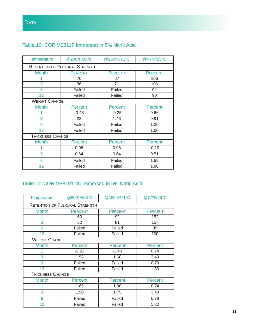## Table 10: COR VE8117 Immersed in 5% Nitric Acid

| <b>Temperature</b>      | @200°F/93°C                           | @160°F/71°C    | @77°F/25°C     |  |  |
|-------------------------|---------------------------------------|----------------|----------------|--|--|
|                         | <b>RETENTION OF FLEXURAL STRENGTH</b> |                |                |  |  |
| <b>Month</b>            | <b>PERCENT</b>                        | <b>PERCENT</b> | <b>PERCENT</b> |  |  |
|                         | 70                                    | 67             | 106            |  |  |
| 3                       | 36                                    | 71             | 106            |  |  |
| 6                       | Failed                                | Failed         | 94             |  |  |
| $\overline{12}$         | Failed                                | Failed         | 90             |  |  |
| <b>WEIGHT CHANGE</b>    |                                       |                |                |  |  |
| <b>Month</b>            | Percent                               | <b>Percent</b> | <b>Percent</b> |  |  |
|                         | $-0.48$                               | $-0.25$        | 0.66           |  |  |
| 3                       | 23                                    | 1.46           | 0.91           |  |  |
| 6                       | Failed                                | Failed         | 1.25           |  |  |
| 12                      | Failed                                | Failed         | 1.00           |  |  |
| <b>THICKNESS CHANGE</b> |                                       |                |                |  |  |
| <b>Month</b>            | Percent                               | Percent        | <b>Percent</b> |  |  |
|                         | 0.98                                  | 0.98           | $-0.19$        |  |  |
| 3                       | 0.64                                  | 0.64           | 0.51           |  |  |
| 6                       | Failed                                | Failed         | 1.59           |  |  |
| 12                      | Failed                                | Failed         | 1.90           |  |  |

#### Table 11: COR VE8101-45 Immersed in 5% Nitric Acid

| <b>Temperature</b>      | @200°F/93°C                           | @160°F/71°C    | @77°F/25°C     |  |
|-------------------------|---------------------------------------|----------------|----------------|--|
|                         | <b>RETENTION OF FLEXURAL STRENGTH</b> |                |                |  |
| <b>Month</b>            | <b>PERCENT</b>                        | <b>PERCENT</b> | <b>PERCENT</b> |  |
|                         | 63                                    | 92             | 152            |  |
| 3                       | 52                                    | 81             | 157            |  |
| 6                       | Failed                                | Failed         | 85             |  |
| 12                      | Failed                                | Failed         | 100            |  |
| <b>WEIGHT CHANGE</b>    |                                       |                |                |  |
| <b>Month</b>            | <b>Percent</b>                        | <b>Percent</b> | Percent        |  |
|                         | $-2.22$                               | $-1.40$        | 0.74           |  |
| 3                       | 1.58                                  | 1.68           | 3.49           |  |
| 6                       | Failed                                | Failed         | 0.79           |  |
| $\overline{12}$         | Failed                                | Failed         | 1.80           |  |
| <b>THICKNESS CHANGE</b> |                                       |                |                |  |
| <b>Month</b>            | <b>Percent</b>                        | <b>Percent</b> | Percent        |  |
| 1                       | 1.69                                  | 1.00           | 0.74           |  |
| 3                       | 1.90                                  | 1.75           | 3.49           |  |
| 6                       | Failed                                | Failed         | 0.79           |  |
| $\overline{12}$         | Failed                                | Failed         | 1.80           |  |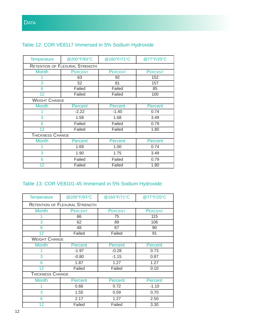| <b>Temperature</b>      | @200°F/93°C                           | @160°F/71°C    | @77°F/25°C     |
|-------------------------|---------------------------------------|----------------|----------------|
|                         | <b>RETENTION OF FLEXURAL STRENGTH</b> |                |                |
| <b>Month</b>            | <b>PERCENT</b>                        | <b>PERCENT</b> | <b>PERCENT</b> |
|                         | 63                                    | 92             | 152            |
| 3                       | 52                                    | 81             | 157            |
| 6                       | Failed                                | Failed         | 85             |
| 12                      | Failed                                | Failed         | 100            |
| <b>WEIGHT CHANGE</b>    |                                       |                |                |
| <b>Month</b>            | <b>Percent</b>                        | <b>Percent</b> | <b>Percent</b> |
|                         | $-2.22$                               | $-1.40$        | 0.74           |
| 3                       | 1.58                                  | 1.68           | 3.49           |
| 6                       | Failed                                | Failed         | 0.79           |
| 12                      | Failed                                | Failed         | 1.80           |
| <b>THICKNESS CHANGE</b> |                                       |                |                |
| <b>Month</b>            | <b>Percent</b>                        | <b>Percent</b> | Percent        |
|                         | 1.69                                  | 1.00           | 0.74           |
| 3                       | 1.90                                  | 1.75           | 3.49           |
| 6                       | Failed                                | Failed         | 0.79           |
| 12                      | Failed                                | Failed         | 1.80           |

# Table 13: COR VE8101-45 Immersed in 5% Sodium Hydroxide

| Temperature                           | @200°F/93°C    | @160°F/71°C    | @77°F/25°C     |
|---------------------------------------|----------------|----------------|----------------|
| <b>RETENTION OF FLEXURAL STRENGTH</b> |                |                |                |
| <b>Month</b>                          | <b>PERCENT</b> | <b>PERCENT</b> | <b>PERCENT</b> |
|                                       | 66             | 75             | 115            |
| 3                                     | 62             | 89             | 106            |
| 6                                     | 48             | 67             | 90             |
| 12                                    | Failed         | Failed         | 91             |
| <b>WEIGHT CHANGE</b>                  |                |                |                |
| <b>Month</b>                          | Percent        | <b>Percent</b> | <b>Percent</b> |
|                                       | $-1.97$        | $-0.28$        | 0.73           |
| 3                                     | $-0.80$        | $-1.15$        | 0.87           |
| 6                                     | 1.87           | 1.27           | 1.27           |
| 12                                    | Failed         | Failed         | 0.10           |
| THICKNESS CHANGE                      |                |                |                |
| <b>Month</b>                          | Percent        | Percent        | <b>Percent</b> |
|                                       | 0.66           | 0.72           | $-1.10$        |
| 3                                     | 1.55           | 0.59           | 0.70           |
| 6                                     | 2.17           | 1.27           | 2.50           |
| 12                                    | Failed         | Failed         | 3.30           |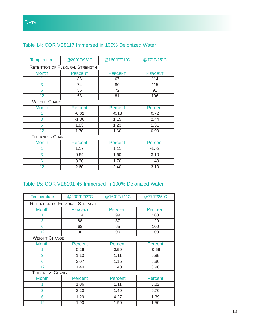| <b>Temperature</b>      | @200°F/93°C                           | @160°F/71°C    | @77°F/25°C     |
|-------------------------|---------------------------------------|----------------|----------------|
|                         | <b>RETENTION OF FLEXURAL STRENGTH</b> |                |                |
| <b>Month</b>            | <b>PERCENT</b>                        | <b>PERCENT</b> | <b>PERCENT</b> |
|                         | 86                                    | 67             | 114            |
| 3                       | 74                                    | 80             | 115            |
| 6                       | 56                                    | 72             | 91             |
| 12                      | 53                                    | 81             | 106            |
| <b>WEIGHT CHANGE</b>    |                                       |                |                |
| <b>Month</b>            | <b>Percent</b>                        | <b>Percent</b> | Percent        |
|                         | $-0.62$                               | $-0.18$        | 0.72           |
| 3                       | $-1.36$                               | 1.15           | 2.44           |
| 6                       | 1.83                                  | 1.23           | 1.31           |
| 12                      | 1.70                                  | 1.60           | 0.90           |
| <b>THICKNESS CHANGE</b> |                                       |                |                |
| <b>Month</b>            | Percent                               | Percent        | Percent        |
|                         | 1.17                                  | 1.11           | $-1.72$        |
| 3                       | 0.64                                  | 1.60           | 3.10           |
| 6                       | 3.30                                  | 1.70           | 1.40           |
| 12                      | 2.60                                  | 2.40           | 3.10           |
|                         |                                       |                |                |

## Table 14: COR VE8117 Immersed in 100% Deionized Water

#### Table 15: COR VE8101-45 Immersed in 100% Deionized Water

| <b>Temperature</b>                    | @200°F/93°C    | @160°F/71°C    | @77°F/25°C     |
|---------------------------------------|----------------|----------------|----------------|
| <b>RETENTION OF FLEXURAL STRENGTH</b> |                |                |                |
| <b>Month</b>                          | <b>PERCENT</b> | <b>PERCENT</b> | <b>PERCENT</b> |
|                                       | 114            | 99             | 103            |
| 3                                     | 88             | 87             | 120            |
| 6                                     | 68             | 65             | 100            |
| 12                                    | 90             | 90             | 100            |
| <b>WEIGHT CHANGE</b>                  |                |                |                |
| <b>Month</b>                          | <b>Percent</b> | <b>Percent</b> | <b>Percent</b> |
| 1                                     | 0.26           | 0.50           | $-0.56$        |
| 3                                     | 1.13           | 1.11           | 0.85           |
| 6                                     | 2.07           | 1.15           | 0.80           |
| 12                                    | 1.40           | 1.40           | 0.90           |
| <b>THICKNESS CHANGE</b>               |                |                |                |
| <b>Month</b>                          | Percent        | <b>Percent</b> | <b>Percent</b> |
|                                       | 1.06           | 1.11           | 0.82           |
| 3                                     | 2.20           | 1.40           | 0.70           |
| 6                                     | 1.29           | 4.27           | 1.39           |
| 12                                    | 1.90           | 1.90           | 1.50           |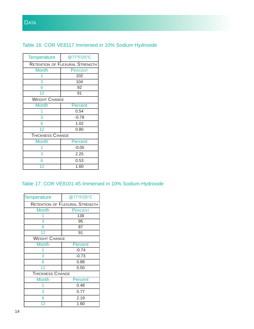

## Table 16: COR VE8117 Immersed in 10% Sodium Hydroxide

| <b>Temperature</b>      | @77°F/25°C                            |  |
|-------------------------|---------------------------------------|--|
|                         | <b>RETENTION OF FLEXURAL STRENGTH</b> |  |
| Month                   | <b>PERCENT</b>                        |  |
|                         | 102                                   |  |
| 3                       | 104                                   |  |
| 6                       | 92                                    |  |
| 12                      | 91                                    |  |
| <b>WEIGHT CHANGE</b>    |                                       |  |
| <b>Month</b>            | <b>Percent</b>                        |  |
|                         | 0.54                                  |  |
| 3                       | $-0.78$                               |  |
| 6                       | 1.02                                  |  |
| 12                      | 0.80                                  |  |
| <b>THICKNESS CHANGE</b> |                                       |  |
| <b>Month</b>            | Percent                               |  |
| 1                       | $-0.05$                               |  |
| 3                       | 2.25                                  |  |
| 6                       | 0.53                                  |  |
| 12                      | 1.60                                  |  |

## Table 17: COR VE8101-45 Immersed in 10% Sodium Hydroxide

| <b>Temperature</b>      | @77°F/25°C                            |
|-------------------------|---------------------------------------|
|                         | <b>RETENTION OF FLEXURAL STRENGTH</b> |
| <b>Month</b>            | <b>PERCENT</b>                        |
|                         | 138                                   |
| 3                       | $\overline{95}$                       |
| 6                       | $\overline{87}$                       |
| $\overline{12}$         | 91                                    |
| <b>WEIGHT CHANGE</b>    |                                       |
| <b>Month</b>            | <b>Percent</b>                        |
|                         | $-0.74$                               |
| 3                       | $-0.73$                               |
| 6                       | 0.88                                  |
| 12                      | 5.50                                  |
| <b>THICKNESS CHANGE</b> |                                       |
| <b>Month</b>            | Percent                               |
|                         | 0.48                                  |
| 3                       | 0.77                                  |
| 6                       | 2.19                                  |
| 12                      | 1.60                                  |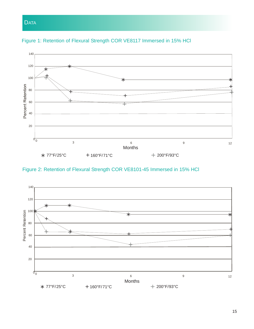Retention of Flexural Strength Figure 1





Figure 2: Retention of Flexural Strength COR VE8101-45 Immersed in 15% HCl

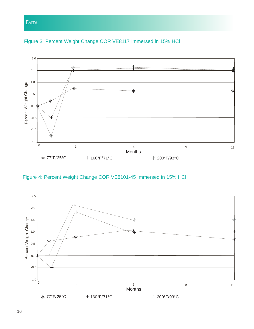



Figure 4: Percent Weight Change COR VE8101-45 Immersed in 15% HCl

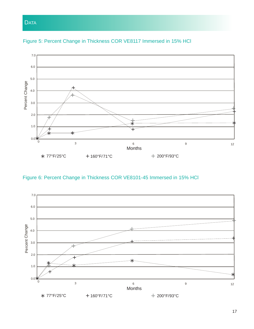

Figure 5: Percent Change in Thickness COR VE8117 Immersed in 15% HCl

Figure 6: Percent Change in Thickness COR VE8101-45 Immersed in 15% HCl

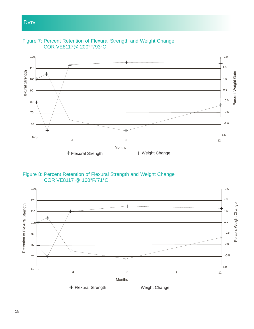

Figure 7: Percent Retention of Flexural Strength and Weight Change COR VE8117@ 200°F/93°C



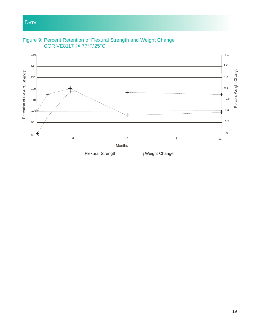

Figure 9: Percent Retention of Flexural Strength and Weight Change COR VE8117 @ 77°F/25°C